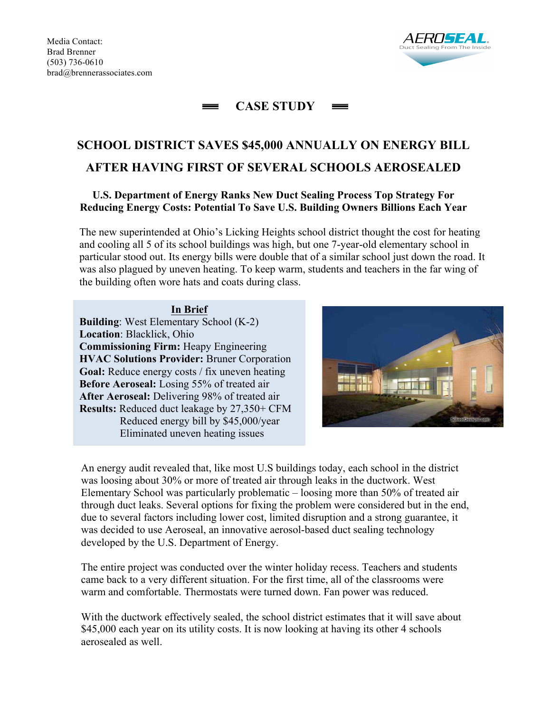

#### **CASE STUDY**  $=$  $\equiv$

# **SCHOOL DISTRICT SAVES \$45,000 ANNUALLY ON ENERGY BILL AFTER HAVING FIRST OF SEVERAL SCHOOLS AEROSEALED**

# **U.S. Department of Energy Ranks New Duct Sealing Process Top Strategy For Reducing Energy Costs: Potential To Save U.S. Building Owners Billions Each Year**

The new superintended at Ohio's Licking Heights school district thought the cost for heating and cooling all 5 of its school buildings was high, but one 7-year-old elementary school in particular stood out. Its energy bills were double that of a similar school just down the road. It was also plagued by uneven heating. To keep warm, students and teachers in the far wing of the building often wore hats and coats during class.

### **In Brief**

**Building**: West Elementary School (K-2) **Location**: Blacklick, Ohio **Commissioning Firm:** Heapy Engineering **HVAC Solutions Provider:** Bruner Corporation **Goal:** Reduce energy costs / fix uneven heating **Before Aeroseal:** Losing 55% of treated air **After Aeroseal:** Delivering 98% of treated air **Results:** Reduced duct leakage by 27,350+ CFM Reduced energy bill by \$45,000/year Eliminated uneven heating issues



An energy audit revealed that, like most U.S buildings today, each school in the district was loosing about 30% or more of treated air through leaks in the ductwork. West Elementary School was particularly problematic – loosing more than 50% of treated air through duct leaks. Several options for fixing the problem were considered but in the end, due to several factors including lower cost, limited disruption and a strong guarantee, it was decided to use Aeroseal, an innovative aerosol-based duct sealing technology developed by the U.S. Department of Energy.

The entire project was conducted over the winter holiday recess. Teachers and students came back to a very different situation. For the first time, all of the classrooms were warm and comfortable. Thermostats were turned down. Fan power was reduced.

With the ductwork effectively sealed, the school district estimates that it will save about \$45,000 each year on its utility costs. It is now looking at having its other 4 schools aerosealed as well.